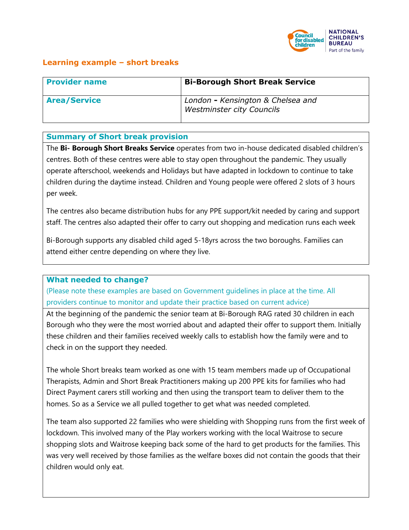

## **Learning example – short breaks**

| <b>Provider name</b> | <b>Bi-Borough Short Break Service</b>                                 |
|----------------------|-----------------------------------------------------------------------|
| <b>Area/Service</b>  | London - Kensington & Chelsea and<br><b>Westminster city Councils</b> |

### **Summary of Short break provision**

The **Bi- Borough Short Breaks Service** operates from two in-house dedicated disabled children's centres. Both of these centres were able to stay open throughout the pandemic. They usually operate afterschool, weekends and Holidays but have adapted in lockdown to continue to take children during the daytime instead. Children and Young people were offered 2 slots of 3 hours per week.

The centres also became distribution hubs for any PPE support/kit needed by caring and support staff. The centres also adapted their offer to carry out shopping and medication runs each week

Bi-Borough supports any disabled child aged 5-18yrs across the two boroughs. Families can attend either centre depending on where they live.

#### **What needed to change?**

(Please note these examples are based on Government guidelines in place at the time. All providers continue to monitor and update their practice based on current advice)

At the beginning of the pandemic the senior team at Bi-Borough RAG rated 30 children in each Borough who they were the most worried about and adapted their offer to support them. Initially these children and their families received weekly calls to establish how the family were and to check in on the support they needed.

The whole Short breaks team worked as one with 15 team members made up of Occupational Therapists, Admin and Short Break Practitioners making up 200 PPE kits for families who had Direct Payment carers still working and then using the transport team to deliver them to the homes. So as a Service we all pulled together to get what was needed completed.

The team also supported 22 families who were shielding with Shopping runs from the first week of lockdown. This involved many of the Play workers working with the local Waitrose to secure shopping slots and Waitrose keeping back some of the hard to get products for the families. This was very well received by those families as the welfare boxes did not contain the goods that their children would only eat.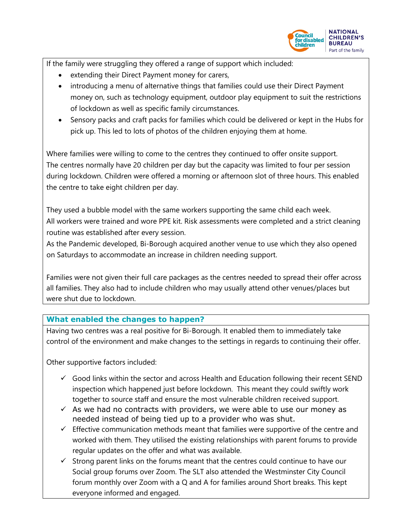

If the family were struggling they offered a range of support which included:

- extending their Direct Payment money for carers,
- introducing a menu of alternative things that families could use their Direct Payment money on, such as technology equipment, outdoor play equipment to suit the restrictions of lockdown as well as specific family circumstances.
- Sensory packs and craft packs for families which could be delivered or kept in the Hubs for pick up. This led to lots of photos of the children enjoying them at home.

Where families were willing to come to the centres they continued to offer onsite support. The centres normally have 20 children per day but the capacity was limited to four per session during lockdown. Children were offered a morning or afternoon slot of three hours. This enabled the centre to take eight children per day.

They used a bubble model with the same workers supporting the same child each week. All workers were trained and wore PPE kit. Risk assessments were completed and a strict cleaning routine was established after every session.

As the Pandemic developed, Bi-Borough acquired another venue to use which they also opened on Saturdays to accommodate an increase in children needing support.

Families were not given their full care packages as the centres needed to spread their offer across all families. They also had to include children who may usually attend other venues/places but were shut due to lockdown.

# **What enabled the changes to happen?**

Having two centres was a real positive for Bi-Borough. It enabled them to immediately take control of the environment and make changes to the settings in regards to continuing their offer.

Other supportive factors included:

- $\checkmark$  Good links within the sector and across Health and Education following their recent SEND inspection which happened just before lockdown. This meant they could swiftly work together to source staff and ensure the most vulnerable children received support.
- $\checkmark$  As we had no contracts with providers, we were able to use our money as needed instead of being tied up to a provider who was shut.
- $\checkmark$  Effective communication methods meant that families were supportive of the centre and worked with them. They utilised the existing relationships with parent forums to provide regular updates on the offer and what was available.
- $\checkmark$  Strong parent links on the forums meant that the centres could continue to have our Social group forums over Zoom. The SLT also attended the Westminster City Council forum monthly over Zoom with a Q and A for families around Short breaks. This kept everyone informed and engaged.